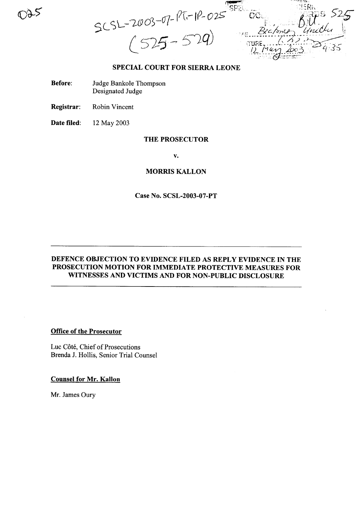$SCSL-2003-07-177-112-025$  $2c$  form  $\nu$ 

#### SPECIAL COURT FOR SIERRA LEONE

- Before: Judge Bankole Thompson Designated Judge
- Registrar: Robin Vincent

Date filed: 12 May 2003

#### THE PROSECUTOR

v.

#### MORRIS KALLON

# Case No. SCSL-2003-07-PT

# DEFENCE OBJECTION TO EVIDENCE FILED AS REPLY EVIDENCE IN THE PROSECUTION MOTION FOR IMMEDIATE PROTECTIVE MEASURES FOR WITNESSES AND VICTIMS AND FOR NON-PUBLIC DISCLOSURE

### Office of the Prosecutor

Luc Côté, Chief of Prosecutions Brenda J. Hollis, Senior Trial Counsel

Counsel for Mr. Kallon

Mr. James Oury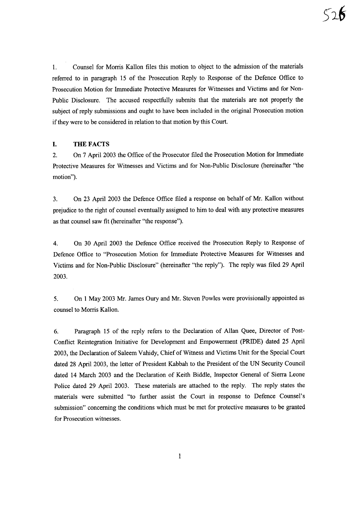1. Counsel for Morris Kallon files this motion to object to the admission of the materials referred to in paragraph 15 of the Prosecution Reply to Response of the Defence Office to Prosecution Motion for Immediate Protective Measures for Witnesses and Victims and for Non-Public Disclosure. The accused respectfully submits that the materials are not properly the subject of reply submissions and ought to have been included in the original Prosecution motion if they were to be considered in relation to that motion by this Court.

## **I.** THE FACTS

2. On 7 April 2003 the Office of the Prosecutor filed the Prosecution Motion for Immediate Protective Measures for Witnesses and Victims and for Non-Public Disclosure (hereinafter "the motion").

3. On 23 April 2003 the Defence Office filed a response on behalf of Mr. Kallon without prejudice to the right of counsel eventually assigned to him to deal with any protective measures as that counsel saw fit (hereinafter "the response").

4. On 30 April 2003 the Defence Office received the Prosecution Reply to Response of Defence Office to "Prosecution Motion for Immediate Protective Measures for Witnesses and Victims and for Non-Public Disclosure" (hereinafter "the reply"). The reply was filed 29 April 2003.

5. On 1 May 2003 Mr. James Oury and Mr. Steven Powles were provisionally appointed as counsel to Morris Kallon.

6. Paragraph 15 of the reply refers to the Declaration of Allan Quee, Director of Post-Conflict Reintegration Initiative for Development and Empowerment (PRIDE) dated 25 April 2003, the Declaration of Saleem Vahidy, Chief of Witness and Victims Unit for the Special Court dated 28 April 2003, the letter of President Kabbah to the President of the UN Security Council dated 14 March 2003 and the Declaration of Keith Biddle, Inspector General of Sierra Leone Police dated 29 April 2003. These materials are attached to the reply. The reply states the materials were submitted "to further assist the Court in response to Defence Counsel's submission" concerning the conditions which must be met for protective measures to be granted for Prosecution witnesses.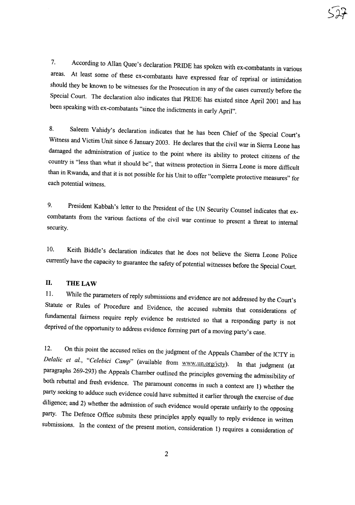7. According to Allan Quee's declaration PRIDE has spoken with ex-combatants in various areas. At least some of these ex-combatants have expressed fear of reprisal or intimidation should they be known to be witnesses for the Prosecution in any of the cases currently before the Special Court. The declaration also indicates that PRIDE has existed since April 200I and has been speaking with ex-combatants "since the indictments in early April".

8. Saleem Vahidy's declaration indicates that he has been Chief of the Special Court's Witness and Victim Unit since <sup>6</sup> January 2003. He declares that the civil war in Sierra Leone has damaged the administration of justice to the point where its ability to protect citizens of the country is "less than what it should be", that witness protection in Sierra Leone is more difficult than in Rwanda, and that it is not possible for his Unit to offer "complete protective measures" for each potential witness.

9. President Kabbah's letter to the President of the UN Security Counsel indicates that excombatants from the various factions of the civil war continue to present <sup>a</sup> threat to internal security.

10. Keith Biddle's declaration indicates that he does not believe the Sierra Leone Police currently have the capacity to guarantee the safety of potential witnesses before the Special Court.

# **II.** THE LAW

11. While the parameters of reply submissions and evidence are not addressed by the Court's Statute or Rules of Procedure and Evidence, the accused submits that considerations of fundamental fairness require reply evidence be restricted so that <sup>a</sup> responding party is not deprived of the opportunity to address evidence forming part of a moving party's case.

12. On this point the accused relies on the judgment of the Appeals Chamber of the ICTY in *Delalic et al., "Celebici Camp"* (available from w\\'W.un.org/icty). In that judgment (at paragraphs 269-293) the Appeals Chamber outlined the principles governing the admissibility of both rebuttal and fresh evidence. The paramount concerns in such <sup>a</sup> context are 1) whether the party seeking to adduce such evidence could have submitted it earlier through the exercise of due diligence; and 2) whether the admission of such evidence would operate unfairly to the opposing party. The Defence Office submits these principles apply equally to reply evidence in written submissions. In the context of the present motion, consideration 1) requires <sup>a</sup> consideration of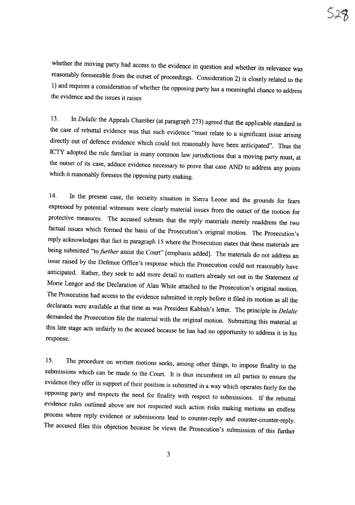whether the moving party had access to the evidence in question and whether its relevance was reasonably foreseeable from the outset of proceedings. Consideration 2) is closely related to the 1) and requires a consideration of whether the opposing party has a meaningful chance to address the evidence and the issues it raises

13. In *Delalic* the Appeals Chamber (at paragraph 273) agreed that the applicable standard in the case of rebuttal evidence was that such evidence "must relate to <sup>a</sup> significant issue arising directly out of defence evidence which could not reasonably have been anticipated". Thus the ICTY adopted the rule familiar in many common law jurisdictions that <sup>a</sup> moving party must, at the outset of its case, adduce evidence necessary to prove that case AND to address any points which it reasonably foresees the opposing party making.

14. In the present case, the security situation in Sierra Leone and the grounds for fears expressed by potential witnesses were clearly material issues from the outset of the motion for protective measures. The accused submits that the reply materials merely readdress the two factual issues which formed the basis of the Prosecution's original motion. The Prosecution's reply acknowledges that fact in paragraph <sup>15</sup> where the Prosecution states that these materials are being submitted "to *further* assist the Court" [emphasis added]. The materials do not address an issue raised by the Defence Office's response which the Prosecution could not reasonably have anticipated. Rather, they seek to add more detail to matters already set out in the Statement of Morie Lengor and the Declaration of Alan White attached to the Prosecution's original motion. The Prosecution had access to the evidence submitted in reply before it filed its motion as all the declarants were available at that time as was President Kabbah's letter. The principle in *Delatic* demanded the Prosecution file the material with the original motion. Submitting this material at this late stage acts unfairly to the accused because he has had no opportunity to address it in his response.

15. The procedure on written motions seeks, among other things, to impose finality to the submissions which can be made to the Court. It is thus incumbent on all parties to ensure the evidence they offer in support of their position is submitted in a way which operates fairly for the opposing party and respects the need for finality with respect to submissions. If the rebuttal evidence rules outlined above are not respected such action risks making motions an endless process where reply evidence or submissions lead to counter-reply and counter-counter-reply. The accused files this objection because he views the Prosecution's submission of this further